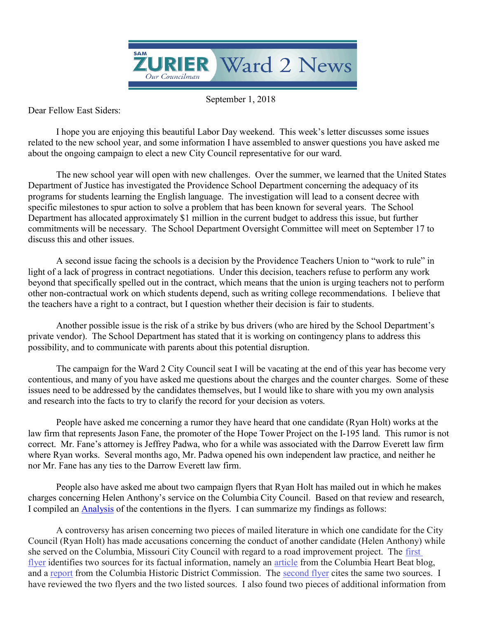

September 1, 2018

Dear Fellow East Siders:

 I hope you are enjoying this beautiful Labor Day weekend. This week's letter discusses some issues related to the new school year, and some information I have assembled to answer questions you have asked me about the ongoing campaign to elect a new City Council representative for our ward.

 The new school year will open with new challenges. Over the summer, we learned that the United States Department of Justice has investigated the Providence School Department concerning the adequacy of its programs for students learning the English language. The investigation will lead to a consent decree with specific milestones to spur action to solve a problem that has been known for several years. The School Department has allocated approximately \$1 million in the current budget to address this issue, but further commitments will be necessary. The School Department Oversight Committee will meet on September 17 to discuss this and other issues.

 A second issue facing the schools is a decision by the Providence Teachers Union to "work to rule" in light of a lack of progress in contract negotiations. Under this decision, teachers refuse to perform any work beyond that specifically spelled out in the contract, which means that the union is urging teachers not to perform other non-contractual work on which students depend, such as writing college recommendations. I believe that the teachers have a right to a contract, but I question whether their decision is fair to students.

 Another possible issue is the risk of a strike by bus drivers (who are hired by the School Department's private vendor). The School Department has stated that it is working on contingency plans to address this possibility, and to communicate with parents about this potential disruption.

 The campaign for the Ward 2 City Council seat I will be vacating at the end of this year has become very contentious, and many of you have asked me questions about the charges and the counter charges. Some of these issues need to be addressed by the candidates themselves, but I would like to share with you my own analysis and research into the facts to try to clarify the record for your decision as voters.

 People have asked me concerning a rumor they have heard that one candidate (Ryan Holt) works at the law firm that represents Jason Fane, the promoter of the Hope Tower Project on the I-195 land. This rumor is not correct. Mr. Fane's attorney is Jeffrey Padwa, who for a while was associated with the Darrow Everett law firm where Ryan works. Several months ago, Mr. Padwa opened his own independent law practice, and neither he nor Mr. Fane has any ties to the Darrow Everett law firm.

 People also have asked me about two campaign flyers that Ryan Holt has mailed out in which he makes charges concerning Helen Anthony's service on the Columbia City Council. Based on that review and research, I compiled an Analysis of the contentions in the flyers. I can summarize my findings as follows:

A controversy has arisen concerning two pieces of mailed literature in which one candidate for the City Council (Ryan Holt) has made accusations concerning the conduct of another candidate (Helen Anthony) while she served on the Columbia, Missouri City Council with regard to a road improvement project. The first flyer identifies two sources for its factual information, namely an article from the Columbia Heart Beat blog, and a report from the Columbia Historic District Commission. The second flyer cites the same two sources. I have reviewed the two flyers and the two listed sources. I also found two pieces of additional information from